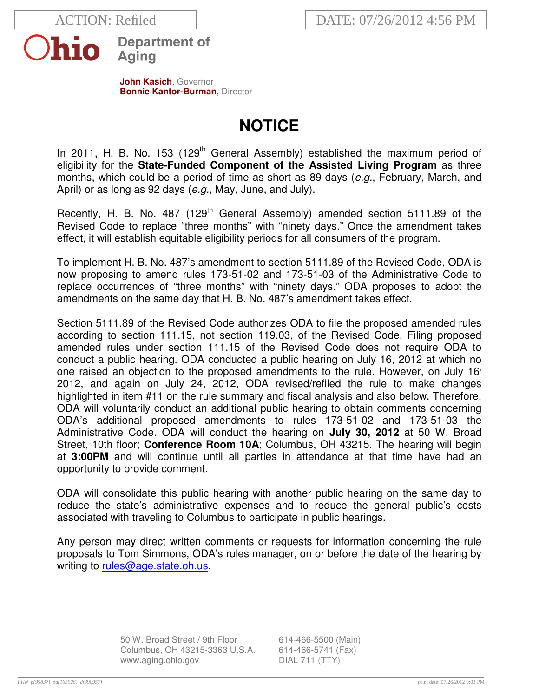

**Department of** Aging

**John Kasich**, Governor **Bonnie Kantor-Burman, Director** 

## **NOTICE**

In 2011, H. B. No. 153 (129<sup>th</sup> General Assembly) established the maximum period of eligibility for the **State-Funded Component of the Assisted Living Program** as three months, which could be a period of time as short as 89 days (e.g., February, March, and April) or as long as 92 days (e.g., May, June, and July).

Recently, H. B. No. 487 (129<sup>th</sup> General Assembly) amended section 5111.89 of the Revised Code to replace "three months" with "ninety days." Once the amendment takes effect, it will establish equitable eligibility periods for all consumers of the program.

To implement H. B. No. 487's amendment to section 5111.89 of the Revised Code, ODA is now proposing to amend rules 173-51-02 and 173-51-03 of the Administrative Code to replace occurrences of "three months" with "ninety days." ODA proposes to adopt the amendments on the same day that H. B. No. 487's amendment takes effect.

Section 5111.89 of the Revised Code authorizes ODA to file the proposed amended rules according to section 111.15, not section 119.03, of the Revised Code. Filing proposed amended rules under section 111.15 of the Revised Code does not require ODA to conduct a public hearing. ODA conducted a public hearing on July 16, 2012 at which no one raised an objection to the proposed amendments to the rule. However, on July 16<sup>,</sup> 2012, and again on July 24, 2012, ODA revised/refiled the rule to make changes highlighted in item #11 on the rule summary and fiscal analysis and also below. Therefore, ODA will voluntarily conduct an additional public hearing to obtain comments concerning ODA's additional proposed amendments to rules 173-51-02 and 173-51-03 the Administrative Code. ODA will conduct the hearing on **July 30, 2012** at 50 W. Broad Street, 10th floor; **Conference Room 10A**; Columbus, OH 43215. The hearing will begin at **3:00PM** and will continue until all parties in attendance at that time have had an opportunity to provide comment.

ODA will consolidate this public hearing with another public hearing on the same day to reduce the state's administrative expenses and to reduce the general public's costs associated with traveling to Columbus to participate in public hearings.

Any person may direct written comments or requests for information concerning the rule proposals to Tom Simmons, ODA's rules manager, on or before the date of the hearing by writing to rules@age.state.oh.us.

> 50 W. Broad Street / 9th Floor 614-466-5500 (Main) Columbus, OH 43215-3363 U.S.A. 614-466-5741 (Fax) www.aging.ohio.gov DIAL 711 (TTY)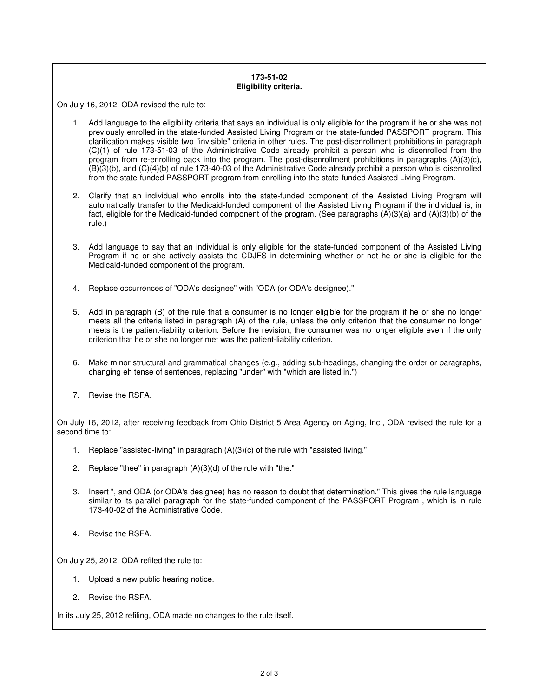## **173-51-02 Eligibility criteria.**

On July 16, 2012, ODA revised the rule to:

- 1. Add language to the eligibility criteria that says an individual is only eligible for the program if he or she was not previously enrolled in the state-funded Assisted Living Program or the state-funded PASSPORT program. This clarification makes visible two "invisible" criteria in other rules. The post-disenrollment prohibitions in paragraph (C)(1) of rule 173-51-03 of the Administrative Code already prohibit a person who is disenrolled from the program from re-enrolling back into the program. The post-disenrollment prohibitions in paragraphs (A)(3)(c), (B)(3)(b), and (C)(4)(b) of rule 173-40-03 of the Administrative Code already prohibit a person who is disenrolled from the state-funded PASSPORT program from enrolling into the state-funded Assisted Living Program.
- 2. Clarify that an individual who enrolls into the state-funded component of the Assisted Living Program will automatically transfer to the Medicaid-funded component of the Assisted Living Program if the individual is, in fact, eligible for the Medicaid-funded component of the program. (See paragraphs (A)(3)(a) and (A)(3)(b) of the rule.)
- 3. Add language to say that an individual is only eligible for the state-funded component of the Assisted Living Program if he or she actively assists the CDJFS in determining whether or not he or she is eligible for the Medicaid-funded component of the program.
- 4. Replace occurrences of "ODA's designee" with "ODA (or ODA's designee)."
- 5. Add in paragraph (B) of the rule that a consumer is no longer eligible for the program if he or she no longer meets all the criteria listed in paragraph (A) of the rule, unless the only criterion that the consumer no longer meets is the patient-liability criterion. Before the revision, the consumer was no longer eligible even if the only criterion that he or she no longer met was the patient-liability criterion.
- 6. Make minor structural and grammatical changes (e.g., adding sub-headings, changing the order or paragraphs, changing eh tense of sentences, replacing "under" with "which are listed in.")
- 7. Revise the RSFA.

On July 16, 2012, after receiving feedback from Ohio District 5 Area Agency on Aging, Inc., ODA revised the rule for a second time to:

- 1. Replace "assisted-living" in paragraph (A)(3)(c) of the rule with "assisted living."
- 2. Replace "thee" in paragraph  $(A)(3)(d)$  of the rule with "the."
- 3. Insert ", and ODA (or ODA's designee) has no reason to doubt that determination." This gives the rule language similar to its parallel paragraph for the state-funded component of the PASSPORT Program, which is in rule 173-40-02 of the Administrative Code.
- 4. Revise the RSFA.

On July 25, 2012, ODA refiled the rule to:

- 1. Upload a new public hearing notice.
- 2. Revise the RSFA.

In its July 25, 2012 refiling, ODA made no changes to the rule itself.